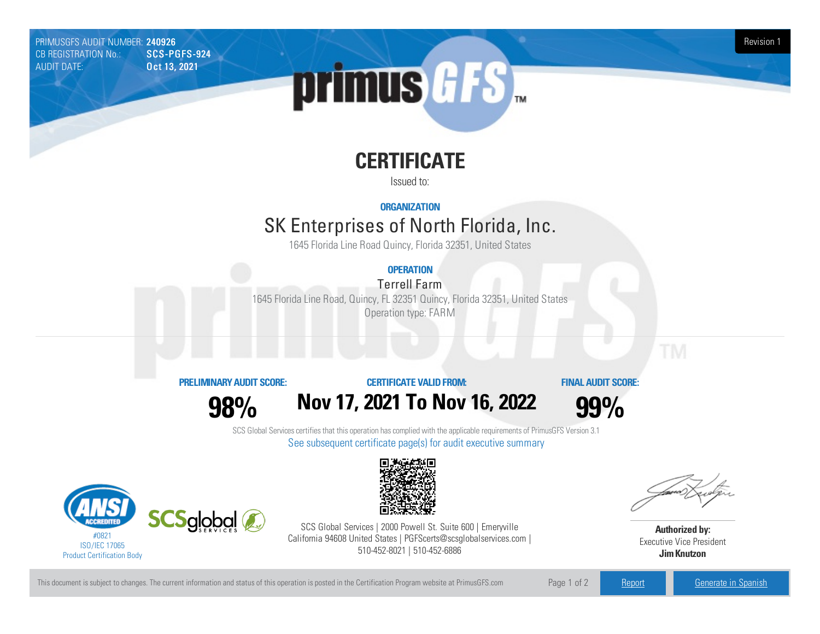PRIMUSGFS AUDIT NUMBER: 240926 Revision 1<br>CB REGISTRATION No.: SCS-PGFS-924 Revision 1 CB REGISTRATION No.: AUDIT DATE: **Oct 13, 2021** 



# **CERTIFICATE**

Issued to:

**ORGANIZATION**

## SK Enterprises of North Florida, Inc.

1645 Florida Line Road Quincy, Florida 32351, United States

### **OPERATION**

**Terrell Farm** 

1645 Florida Line Road, Quincy, FL 32351 Quincy, Florida 32351, United States Operation type: FARM

### **PRELIMINARYAUDIT SCORE:**

**98%**

### **CERTIFICATE VALIDFROM: Nov17, 2021 To Nov16, 2022**



**FINAL AUDIT SCORE:**

SCS Global Services certifies that this operation has complied with the applicable requirements of PrimusGFS Version 3.1 See subsequent certificate page(s) for audit executive summary





SCS Global Services | 2000 Powell St. Suite 600 | Emeryville California 94608 United States | PGFScerts@scsglobalservices.com | 510-452-8021 | 510-452-6886

**Authorized by:** Executive Vice President **JimKnutzon**

This document is subject to changes. The current information and status of this operation is posted in the Certification Program website at PrimusGFS.com Page 1 of 2 [Report](https://secure.azzule.com/PGFSDocuments/PGFS_AuditReport240926_1758_1_EN.pdf) Report [Generate](https://secure.azzule.com/PrimusGFSAudits/pdfGenerator.aspx?AuditHeaderID=91375243468562374820206134135884118462881&AppId=46802043458&LanguageID=1&UserId=1) in Spanish